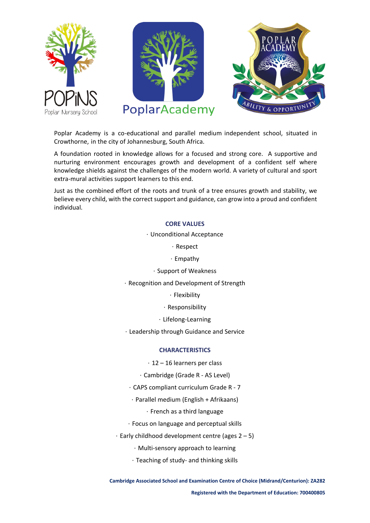





Poplar Academy is a co-educational and parallel medium independent school, situated in Crowthorne, in the city of Johannesburg, South Africa.

A foundation rooted in knowledge allows for a focused and strong core. A supportive and nurturing environment encourages growth and development of a confident self where knowledge shields against the challenges of the modern world. A variety of cultural and sport extra-mural activities support learners to this end.

Just as the combined effort of the roots and trunk of a tree ensures growth and stability, we believe every child, with the correct support and guidance, can grow into a proud and confident individual.

### **CORE VALUES**

#### · Unconditional Acceptance

· Respect

- · Empathy
- · Support of Weakness
- · Recognition and Development of Strength

· Flexibility

· Responsibility

· Lifelong-Learning

· Leadership through Guidance and Service

### **CHARACTERISTICS**

· 12 – 16 learners per class

· Cambridge (Grade R - AS Level)

- · CAPS compliant curriculum Grade R 7
- · Parallel medium (English + Afrikaans)
	- · French as a third language
- · Focus on language and perceptual skills
- $\cdot$  Early childhood development centre (ages 2 5)
	- · Multi-sensory approach to learning
	- · Teaching of study- and thinking skills

**Cambridge Associated School and Examination Centre of Choice (Midrand/Centurion): ZA282**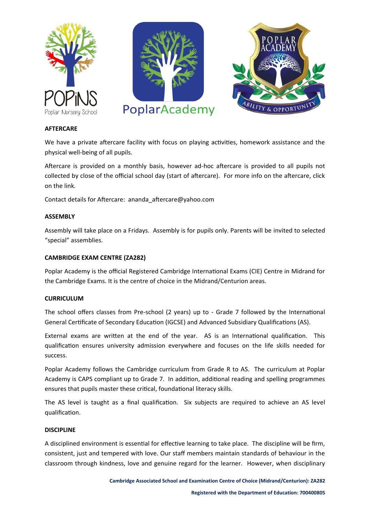





### **AFTERCARE**

We have a private aftercare facility with focus on playing activities, homework assistance and the physical well-being of all pupils.

Aftercare is provided on a monthly basis, however ad-hoc aftercare is provided to all pupils not collected by close of the official school day (start of aftercare). For more info on the aftercare, click on the link.

Contact details for Aftercare: ananda\_aftercare@yahoo.com

### **ASSEMBLY**

Assembly will take place on a Fridays. Assembly is for pupils only. Parents will be invited to selected "special" assemblies.

# **CAMBRIDGE EXAM CENTRE (ZA282)**

Poplar Academy is the official Registered Cambridge International Exams (CIE) Centre in Midrand for the Cambridge Exams. It is the centre of choice in the Midrand/Centurion areas.

### **CURRICULUM**

The school offers classes from Pre-school (2 years) up to - Grade 7 followed by the International General Certificate of Secondary Education (IGCSE) and Advanced Subsidiary Qualifications (AS).

External exams are written at the end of the year. AS is an International qualification. This qualification ensures university admission everywhere and focuses on the life skills needed for success.

Poplar Academy follows the Cambridge curriculum from Grade R to AS. The curriculum at Poplar Academy is CAPS compliant up to Grade 7. In addition, additional reading and spelling programmes ensures that pupils master these critical, foundational literacy skills.

The AS level is taught as a final qualification. Six subjects are required to achieve an AS level qualification.

### **DISCIPLINE**

A disciplined environment is essential for effective learning to take place. The discipline will be firm, consistent, just and tempered with love. Our staff members maintain standards of behaviour in the classroom through kindness, love and genuine regard for the learner. However, when disciplinary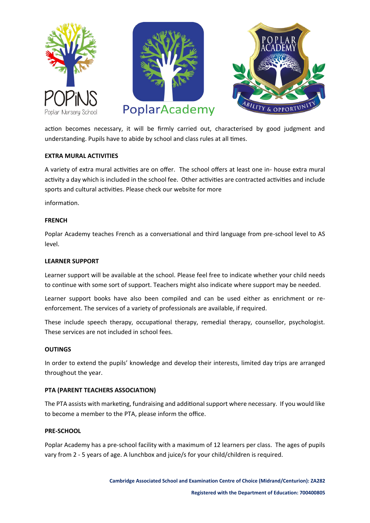





action becomes necessary, it will be firmly carried out, characterised by good judgment and understanding. Pupils have to abide by school and class rules at all times.

### **EXTRA MURAL ACTIVITIES**

A variety of extra mural activities are on offer. The school offers at least one in- house extra mural activity a day which is included in the school fee. Other activities are contracted activities and include sports and cultural activities. Please check our website for more

information.

# **FRENCH**

Poplar Academy teaches French as a conversational and third language from pre-school level to AS level.

### **LEARNER SUPPORT**

Learner support will be available at the school. Please feel free to indicate whether your child needs to continue with some sort of support. Teachers might also indicate where support may be needed.

Learner support books have also been compiled and can be used either as enrichment or reenforcement. The services of a variety of professionals are available, if required.

These include speech therapy, occupational therapy, remedial therapy, counsellor, psychologist. These services are not included in school fees.

### **OUTINGS**

In order to extend the pupils' knowledge and develop their interests, limited day trips are arranged throughout the year.

### **PTA (PARENT TEACHERS ASSOCIATION)**

The PTA assists with marketing, fundraising and additional support where necessary. If you would like to become a member to the PTA, please inform the office.

### **PRE-SCHOOL**

Poplar Academy has a pre-school facility with a maximum of 12 learners per class. The ages of pupils vary from 2 - 5 years of age. A lunchbox and juice/s for your child/children is required.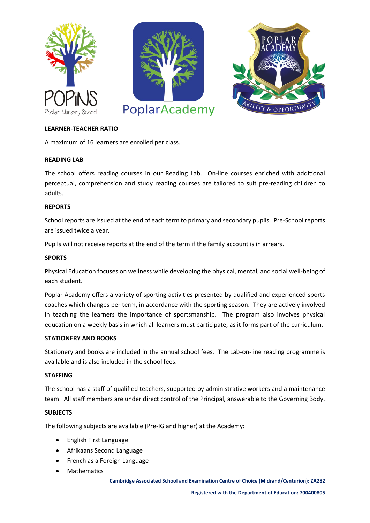





# **LEARNER-TEACHER RATIO**

A maximum of 16 learners are enrolled per class.

# **READING LAB**

The school offers reading courses in our Reading Lab. On-line courses enriched with additional perceptual, comprehension and study reading courses are tailored to suit pre-reading children to adults.

### **REPORTS**

School reports are issued at the end of each term to primary and secondary pupils. Pre-School reports are issued twice a year.

Pupils will not receive reports at the end of the term if the family account is in arrears.

# **SPORTS**

Physical Education focuses on wellness while developing the physical, mental, and social well-being of each student.

Poplar Academy offers a variety of sporting activities presented by qualified and experienced sports coaches which changes per term, in accordance with the sporting season. They are actively involved in teaching the learners the importance of sportsmanship. The program also involves physical education on a weekly basis in which all learners must participate, as it forms part of the curriculum.

### **STATIONERY AND BOOKS**

Stationery and books are included in the annual school fees. The Lab-on-line reading programme is available and is also included in the school fees.

# **STAFFING**

The school has a staff of qualified teachers, supported by administrative workers and a maintenance team. All staff members are under direct control of the Principal, answerable to the Governing Body.

# **SUBJECTS**

The following subjects are available (Pre-IG and higher) at the Academy:

- English First Language
- Afrikaans Second Language
- French as a Foreign Language
- Mathematics

**Cambridge Associated School and Examination Centre of Choice (Midrand/Centurion): ZA282**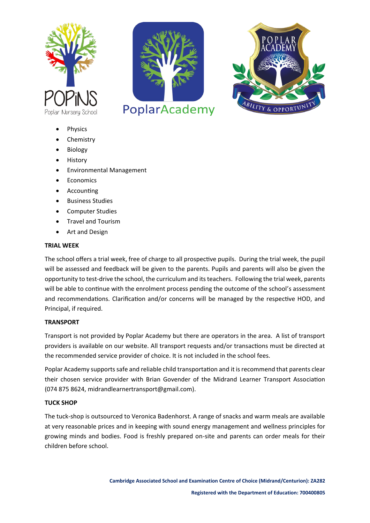





- **Physics**
- **Chemistry**
- **Biology**
- History
- Environmental Management
- **Economics**
- Accounting
- Business Studies
- Computer Studies
- Travel and Tourism
- Art and Design

### **TRIAL WEEK**

The school offers a trial week, free of charge to all prospective pupils. During the trial week, the pupil will be assessed and feedback will be given to the parents. Pupils and parents will also be given the opportunity to test-drive the school, the curriculum and its teachers. Following the trial week, parents will be able to continue with the enrolment process pending the outcome of the school's assessment and recommendations. Clarification and/or concerns will be managed by the respective HOD, and Principal, if required.

### **TRANSPORT**

Transport is not provided by Poplar Academy but there are operators in the area. A list of transport providers is available on our website. All transport requests and/or transactions must be directed at the recommended service provider of choice. It is not included in the school fees.

Poplar Academy supports safe and reliable child transportation and it is recommend that parents clear their chosen service provider with Brian Govender of the Midrand Learner Transport Association (074 875 8624, midrandlearnertransport@gmail.com).

### **TUCK SHOP**

The tuck-shop is outsourced to Veronica Badenhorst. A range of snacks and warm meals are available at very reasonable prices and in keeping with sound energy management and wellness principles for growing minds and bodies. Food is freshly prepared on-site and parents can order meals for their children before school.